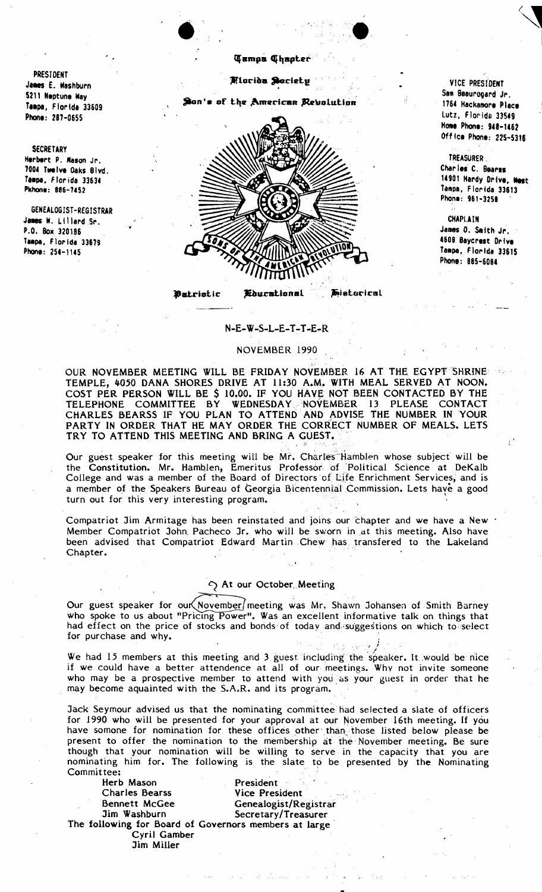PRESIDENT James E. Washburn 5211 Neptune Way Tampa, Florida 33609 Phone: 287-0655

**SECRETARY** Herbert P. Mason Jr. 7004 Twelve Oaks Blvd. Tampa, Florida 33634 Pkhone: 886-7452

GENEALOGIST-REGISTRAR James W. Lillard Sr. P.O. Box 320186 Tampa, Florida 33679 Phone: 254-1145

Miarida Society

Son's of the American Revolution



Patriotic *Educational*  **Eisterical** 

VICE PRESIDENT Sam Beaurogard Jr. 1764 Hackamore Place Lutz, Florida 33549 Home Phone: 948-1462 Office Phone: 225-5316

TREASURER. Charles C. Bearss 14901 Hardy Drive, West Tampa, Florida 33613 Phone: 961-3258

**CHAPLAIN** James O. Smith Jr. 4608 Baycrest Drive Tampa, Florida 33615 Phone: 885-6084

## $N-E-W-S-L-E-T-T-E-R$

## NOVEMBER 1990

OUR NOVEMBER MEETING WILL BE FRIDAY NOVEMBER 16 AT THE EGYPT SHRINE TEMPLE, 4050 DANA SHORES DRIVE AT 11:30 A.M. WITH MEAL SERVED AT NOON. COST PER PERSON WILL BE \$ 10.00. IF YOU HAVE NOT BEEN CONTACTED BY THE TELEPHONE COMMITTEE BY WEDNESDAY NOVEMBER 13 PLEASE CONTACT CHARLES BEARSS IF YOU PLAN TO ATTEND AND ADVISE THE NUMBER IN YOUR PARTY IN ORDER THAT HE MAY ORDER THE CORRECT NUMBER OF MEALS. LETS TRY TO ATTEND THIS MEETING AND BRING A GUEST.

Our guest speaker for this meeting will be Mr. Charles Hamblen whose subject will be the Constitution. Mr. Hamblen, Emeritus Professor of Political Science at DeKalb College and was a member of the Board of Directors of Life Enrichment Services, and is a member of the Speakers Bureau of Georgia Bicentennial Commission. Lets have a good turn out for this very interesting program.

Compatriot Jim Armitage has been reinstated and joins our chapter and we have a New Member Compatriot John Pacheco Jr. who will be sworn in at this meeting. Also have been advised that Compatriot Edward Martin Chew has transfered to the Lakeland Chapter.

## At our October Meeting

Our guest speaker for our November meeting was Mr. Shawn Johansen of Smith Barney who spoke to us about "Pricing Power". Was an excellent informative talk on things that had effect on the price of stocks and bonds of today and suggestions on which to select for purchase and why.

We had 15 members at this meeting and 3 guest including the speaker. It would be nice if we could have a better attendence at all of our meetings. Why not invite someone who may be a prospective member to attend with you as your guest in order that he may become aquainted with the S.A.R. and its program.

Jack Seymour advised us that the nominating committee had selected a slate of officers for 1990 who will be presented for your approval at our November 16th meeting. If you have somone for nomination for these offices other than those listed below please be present to offer the nomination to the membership at the November meeting. Be sure though that your nomination will be willing to serve in the capacity that you are nominating him for. The following is the slate to be presented by the Nominating Committee:

Herb Mason Charles Bearss Bennett McGee Jim Washburn

President Vice President Genealogist/Registrar Secretary/Treasurer

The following for Board of Governors members at large Cyril Gamber Jim Miller